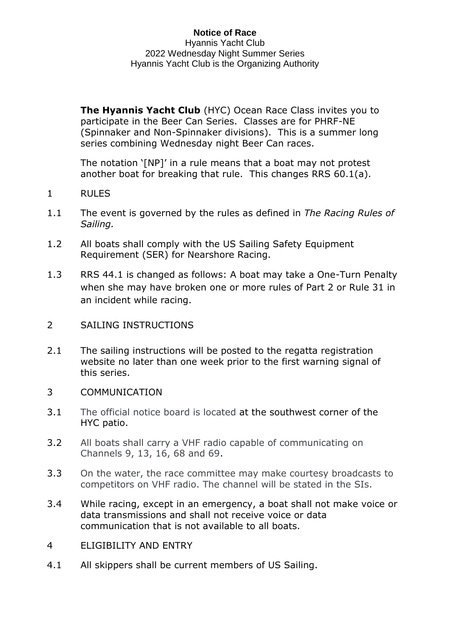**Notice of Race** Hyannis Yacht Club 2022 Wednesday Night Summer Series Hyannis Yacht Club is the Organizing Authority

**The Hyannis Yacht Club** (HYC) Ocean Race Class invites you to participate in the Beer Can Series. Classes are for PHRF-NE (Spinnaker and Non-Spinnaker divisions). This is a summer long series combining Wednesday night Beer Can races.

The notation '[NP]' in a rule means that a boat may not protest another boat for breaking that rule. This changes RRS 60.1(a).

- 1 RULES
- 1.1 The event is governed by the rules as defined in *The Racing Rules of Sailing.*
- 1.2 All boats shall comply with the US Sailing Safety Equipment Requirement (SER) for Nearshore Racing.
- 1.3 RRS 44.1 is changed as follows: A boat may take a One-Turn Penalty when she may have broken one or more rules of Part 2 or Rule 31 in an incident while racing.
- 2 SAILING INSTRUCTIONS
- 2.1 The sailing instructions will be posted to the regatta registration website no later than one week prior to the first warning signal of this series.
- 3 COMMUNICATION
- 3.1 The official notice board is located at [the](https://hyannisyachtclub.org/racing) southwest corner of the HYC patio.
- 3.2 All boats shall carry a VHF radio capable of communicating on Channels 9, 13, 16, 68 and 69.
- 3.3 On the water, the race committee may make courtesy broadcasts to competitors on VHF radio. The channel will be stated in the SIs.
- 3.4 While racing, except in an emergency, a boat shall not make voice or data transmissions and shall not receive voice or data communication that is not available to all boats.
- 4 ELIGIBILITY AND ENTRY
- 4.1 All skippers shall be current members of US Sailing.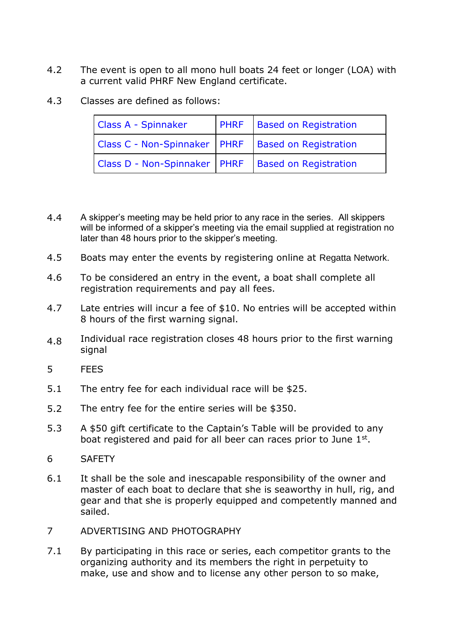- 4.2 The event is open to all mono hull boats 24 feet or longer (LOA) with a current valid PHRF New England certificate.
- 4.3 Classes are defined as follows:

| <b>Class A - Spinnaker</b>                             | <b>PHRF</b> Based on Registration |
|--------------------------------------------------------|-----------------------------------|
| Class C - Non-Spinnaker   PHRF   Based on Registration |                                   |
| Class D - Non-Spinnaker   PHRF   Based on Registration |                                   |

- 4.4 A skipper's meeting may be held prior to any race in the series. All skippers will be informed of a skipper's meeting via the email supplied at registration no later than 48 hours prior to the skipper's meeting.
- 4.5 Boats may enter the events by registering online at Regatta Network.
- 4.6 To be considered an entry in the event, a boat shall complete all registration requirements and pay all fees.
- 4.7 Late entries will incur a fee of \$10. No entries will be accepted within 8 hours of the first warning signal.
- 4.8 Individual race registration closes 48 hours prior to the first warning signal
- 5 FEES
- 5.1 The entry fee for each individual race will be \$25.
- 5.2 The entry fee for the entire series will be \$350.
- 5.3 A \$50 gift certificate to the Captain's Table will be provided to any boat registered and paid for all beer can races prior to June 1st.
- 6 SAFETY
- 6.1 It shall be the sole and inescapable responsibility of the owner and master of each boat to declare that she is seaworthy in hull, rig, and gear and that she is properly equipped and competently manned and sailed.
- 7 ADVERTISING AND PHOTOGRAPHY
- 7.1 By participating in this race or series, each competitor grants to the organizing authority and its members the right in perpetuity to make, use and show and to license any other person to so make,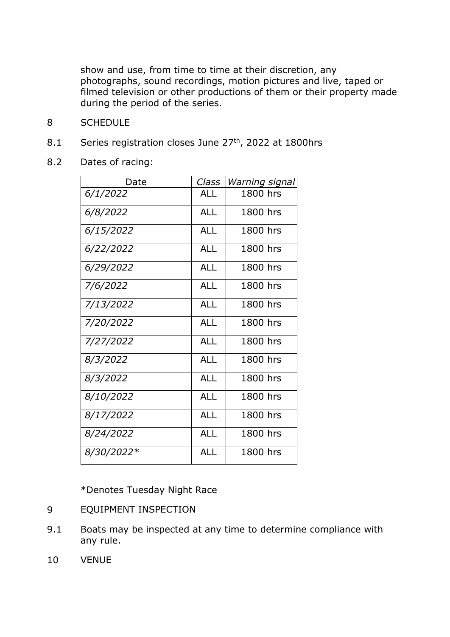show and use, from time to time at their discretion, any photographs, sound recordings, motion pictures and live, taped or filmed television or other productions of them or their property made during the period of the series.

- 8 SCHEDULE
- 8.1 Series registration closes June 27<sup>th</sup>, 2022 at 1800hrs
- 8.2 Dates of racing:

| Date       | Class      | Warning signal |
|------------|------------|----------------|
| 6/1/2022   | <b>ALL</b> | 1800 hrs       |
| 6/8/2022   | <b>ALL</b> | 1800 hrs       |
| 6/15/2022  | <b>ALL</b> | 1800 hrs       |
| 6/22/2022  | <b>ALL</b> | 1800 hrs       |
| 6/29/2022  | <b>ALL</b> | 1800 hrs       |
| 7/6/2022   | <b>ALL</b> | 1800 hrs       |
| 7/13/2022  | <b>ALL</b> | 1800 hrs       |
| 7/20/2022  | <b>ALL</b> | 1800 hrs       |
| 7/27/2022  | <b>ALL</b> | 1800 hrs       |
| 8/3/2022   | <b>ALL</b> | 1800 hrs       |
| 8/3/2022   | <b>ALL</b> | 1800 hrs       |
| 8/10/2022  | <b>ALL</b> | 1800 hrs       |
| 8/17/2022  | <b>ALL</b> | 1800 hrs       |
| 8/24/2022  | <b>ALL</b> | 1800 hrs       |
| 8/30/2022* | <b>ALL</b> | 1800 hrs       |

\*Denotes Tuesday Night Race

- 9 EQUIPMENT INSPECTION
- 9.1 Boats may be inspected at any time to determine compliance with any rule.
- 10 VENUE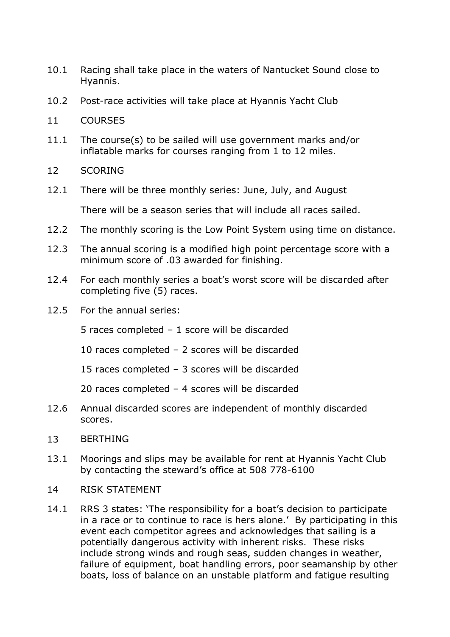- 10.1 Racing shall take place in the waters of Nantucket Sound close to Hyannis.
- 10.2 Post-race activities will take place at Hyannis Yacht Club
- 11 COURSES
- 11.1 The course(s) to be sailed will use government marks and/or inflatable marks for courses ranging from 1 to 12 miles.
- 12 SCORING
- 12.1 There will be three monthly series: June, July, and August

There will be a season series that will include all races sailed.

- 12.2 The monthly scoring is the Low Point System using time on distance.
- 12.3 The annual scoring is a modified high point percentage score with a minimum score of .03 awarded for finishing.
- 12.4 For each monthly series a boat's worst score will be discarded after completing five (5) races.
- 12.5 For the annual series:

5 races completed – 1 score will be discarded

- 10 races completed 2 scores will be discarded
- 15 races completed 3 scores will be discarded
- 20 races completed 4 scores will be discarded
- 12.6 Annual discarded scores are independent of monthly discarded scores.
- 13 BERTHING
- 13.1 Moorings and slips may be available for rent at Hyannis Yacht Club by contacting the steward's office at 508 778-6100
- 14 RISK STATEMENT
- 14.1 RRS 3 states: 'The responsibility for a boat's decision to participate in a race or to continue to race is hers alone.' By participating in this event each competitor agrees and acknowledges that sailing is a potentially dangerous activity with inherent risks. These risks include strong winds and rough seas, sudden changes in weather, failure of equipment, boat handling errors, poor seamanship by other boats, loss of balance on an unstable platform and fatigue resulting